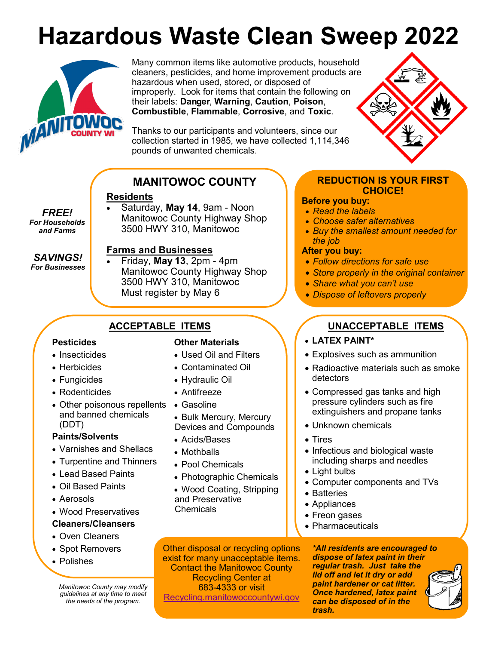# **Hazardous Waste Clean Sweep 2022**



*FREE! For Households and Farms*

*SAVINGS! For Businesses*

Many common items like automotive products, household cleaners, pesticides, and home improvement products are hazardous when used, stored, or disposed of improperly. Look for items that contain the following on their labels: **Danger**, **Warning**, **Caution**, **Poison**, **Combustible**, **Flammable**, **Corrosive**, and **Toxic**.

Thanks to our participants and volunteers, since our collection started in 1985, we have collected 1,114,346 pounds of unwanted chemicals.

# **MANITOWOC COUNTY**

### **Residents**

 Saturday, **May 14**, 9am - Noon Manitowoc County Highway Shop 3500 HWY 310, Manitowoc

#### **Farms and Businesses**

 Friday, **May 13**, 2pm - 4pm Manitowoc County Highway Shop 3500 HWY 310, Manitowoc Must register by May 6

#### **Pesticides**

- Insecticides
- Herbicides
- Fungicides
- Rodenticides
- Other poisonous repellents and banned chemicals (DDT)

#### **Paints/Solvents**

- Varnishes and Shellacs
- Turpentine and Thinners
- Lead Based Paints
- Oil Based Paints
- Aerosols
- Wood Preservatives

#### **Cleaners/Cleansers**

- Oven Cleaners
- Spot Removers
- Polishes

*Manitowoc County may modify guidelines at any time to meet the needs of the program.*

### **Other Materials**

- Used Oil and Filters
- Contaminated Oil
- Hydraulic Oil
- Antifreeze
- Gasoline
- Bulk Mercury, Mercury Devices and Compounds
- Acids/Bases
- Mothballs
- Pool Chemicals
- Photographic Chemicals
- Wood Coating, Stripping and Preservative **Chemicals**

**REDUCTION IS YOUR FIRST CHOICE!**

#### **Before you buy:**

- *Read the labels*
- *Choose safer alternatives*
- *Buy the smallest amount needed for the job*

#### **After you buy:**

- *Follow directions for safe use*
- *Store properly in the original container*
- *Share what you can't use*
- *Dispose of leftovers properly*

# **ACCEPTABLE ITEMS UNACCEPTABLE ITEMS**

- **LATEX PAINT\***
- Explosives such as ammunition
- Radioactive materials such as smoke detectors
- Compressed gas tanks and high pressure cylinders such as fire extinguishers and propane tanks
- Unknown chemicals
- Tires
- Infectious and biological waste including sharps and needles
- Light bulbs
- Computer components and TVs
- Batteries
- Appliances
- Freon gases
- Pharmaceuticals

Other disposal or recycling options exist for many unacceptable items. Contact the Manitowoc County Recycling Center at 683-4333 or visit [Recycling.manitowoccountywi.gov](file:///C:/Users/jonreisenbuechler/Documents/Checkstubs)

*\*All residents are encouraged to dispose of latex paint in their regular trash. Just take the lid off and let it dry or add paint hardener or cat litter. Once hardened, latex paint can be disposed of in the trash.*



- -